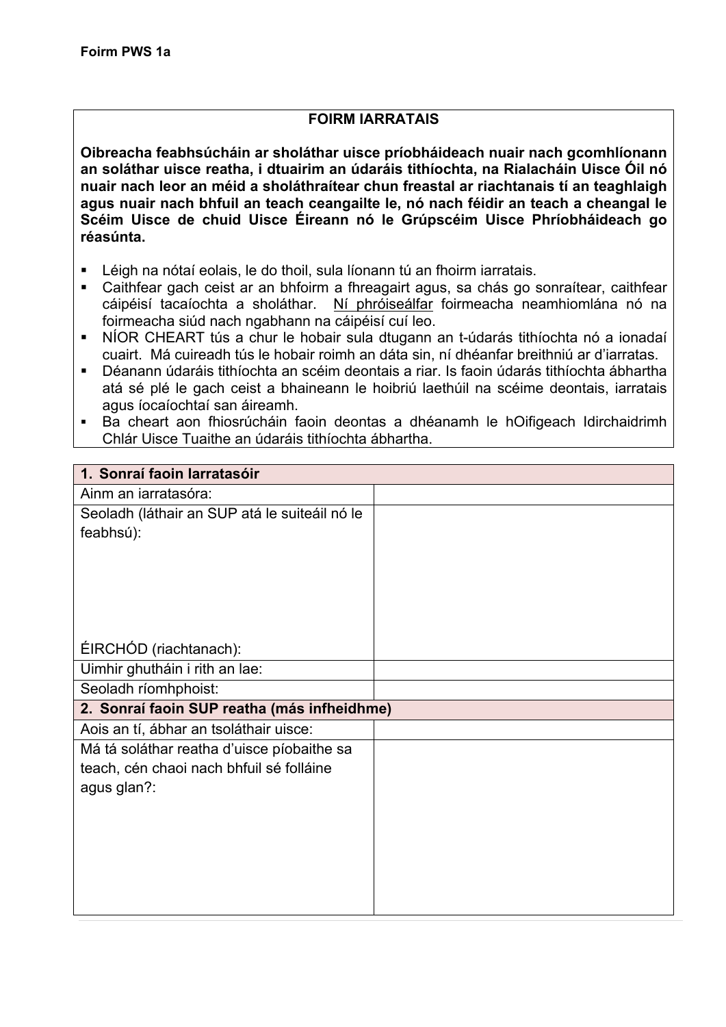## **FOIRM IARRATAIS**

**Oibreacha feabhsúcháin ar sholáthar uisce príobháideach nuair nach gcomhlíonann an soláthar uisce reatha, i dtuairim an údaráis tithíochta, na Rialacháin Uisce Óil nó nuair nach leor an méid a sholáthraítear chun freastal ar riachtanais tí an teaghlaigh agus nuair nach bhfuil an teach ceangailte le, nó nach féidir an teach a cheangal le Scéim Uisce de chuid Uisce Éireann nó le Grúpscéim Uisce Phríobháideach go réasúnta.**

- Léigh na nótaí eolais, le do thoil, sula líonann tú an fhoirm iarratais.
- § Caithfear gach ceist ar an bhfoirm a fhreagairt agus, sa chás go sonraítear, caithfear cáipéisí tacaíochta a sholáthar. Ní phróiseálfar foirmeacha neamhiomlána nó na foirmeacha siúd nach ngabhann na cáipéisí cuí leo.
- § NÍOR CHEART tús a chur le hobair sula dtugann an t-údarás tithíochta nó a ionadaí cuairt. Má cuireadh tús le hobair roimh an dáta sin, ní dhéanfar breithniú ar d'iarratas.
- Déanann údaráis tithíochta an scéim deontais a riar. Is faoin údarás tithíochta ábhartha atá sé plé le gach ceist a bhaineann le hoibriú laethúil na scéime deontais, iarratais agus íocaíochtaí san áireamh.
- § Ba cheart aon fhiosrúcháin faoin deontas a dhéanamh le hOifigeach Idirchaidrimh Chlár Uisce Tuaithe an údaráis tithíochta ábhartha.

| 1. Sonraí faoin Iarratasóir                   |  |
|-----------------------------------------------|--|
| Ainm an iarratasóra:                          |  |
| Seoladh (láthair an SUP atá le suiteáil nó le |  |
| feabhsú):                                     |  |
|                                               |  |
|                                               |  |
|                                               |  |
|                                               |  |
|                                               |  |
| ÉIRCHÓD (riachtanach):                        |  |
| Uimhir ghutháin i rith an lae:                |  |
| Seoladh ríomhphoist:                          |  |
| 2. Sonraí faoin SUP reatha (más infheidhme)   |  |
| Aois an tí, ábhar an tsoláthair uisce:        |  |
| Má tá soláthar reatha d'uisce píobaithe sa    |  |
| teach, cén chaoi nach bhfuil sé folláine      |  |
| agus glan?:                                   |  |
|                                               |  |
|                                               |  |
|                                               |  |
|                                               |  |
|                                               |  |
|                                               |  |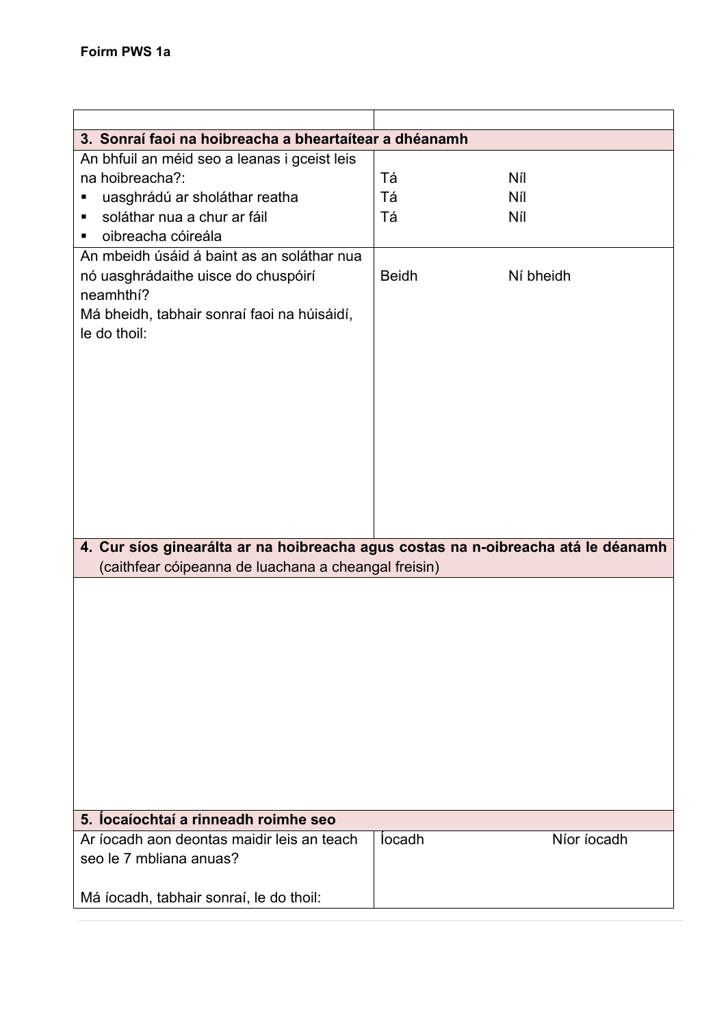| 3. Sonraí faoi na hoibreacha a bheartaítear a dhéanamh                            |              |             |
|-----------------------------------------------------------------------------------|--------------|-------------|
| An bhfuil an méid seo a leanas i gceist leis                                      |              |             |
| na hoibreacha?:                                                                   | Tá           | Níl         |
| uasghrádú ar sholáthar reatha                                                     | Tá           | Níl         |
| soláthar nua a chur ar fáil<br>п                                                  | Tá           | Níl         |
| oibreacha cóireála<br>П                                                           |              |             |
| An mbeidh úsáid á baint as an soláthar nua                                        |              |             |
| nó uasghrádaithe uisce do chuspóirí                                               | <b>Beidh</b> | Ní bheidh   |
| neamhthí?                                                                         |              |             |
| Má bheidh, tabhair sonraí faoi na húisáidí,                                       |              |             |
| le do thoil:                                                                      |              |             |
|                                                                                   |              |             |
|                                                                                   |              |             |
|                                                                                   |              |             |
|                                                                                   |              |             |
|                                                                                   |              |             |
|                                                                                   |              |             |
|                                                                                   |              |             |
|                                                                                   |              |             |
|                                                                                   |              |             |
|                                                                                   |              |             |
| 4. Cur síos ginearálta ar na hoibreacha agus costas na n-oibreacha atá le déanamh |              |             |
| (caithfear cóipeanna de luachana a cheangal freisin)                              |              |             |
|                                                                                   |              |             |
|                                                                                   |              |             |
|                                                                                   |              |             |
|                                                                                   |              |             |
|                                                                                   |              |             |
|                                                                                   |              |             |
|                                                                                   |              |             |
|                                                                                   |              |             |
|                                                                                   |              |             |
|                                                                                   |              |             |
|                                                                                   |              |             |
|                                                                                   |              |             |
| 5. locaíochtaí a rinneadh roimhe seo                                              |              |             |
| Ar íocadh aon deontas maidir leis an teach                                        | locadh       | Níor íocadh |
| seo le 7 mbliana anuas?                                                           |              |             |
|                                                                                   |              |             |
| Má íocadh, tabhair sonraí, le do thoil:                                           |              |             |
|                                                                                   |              |             |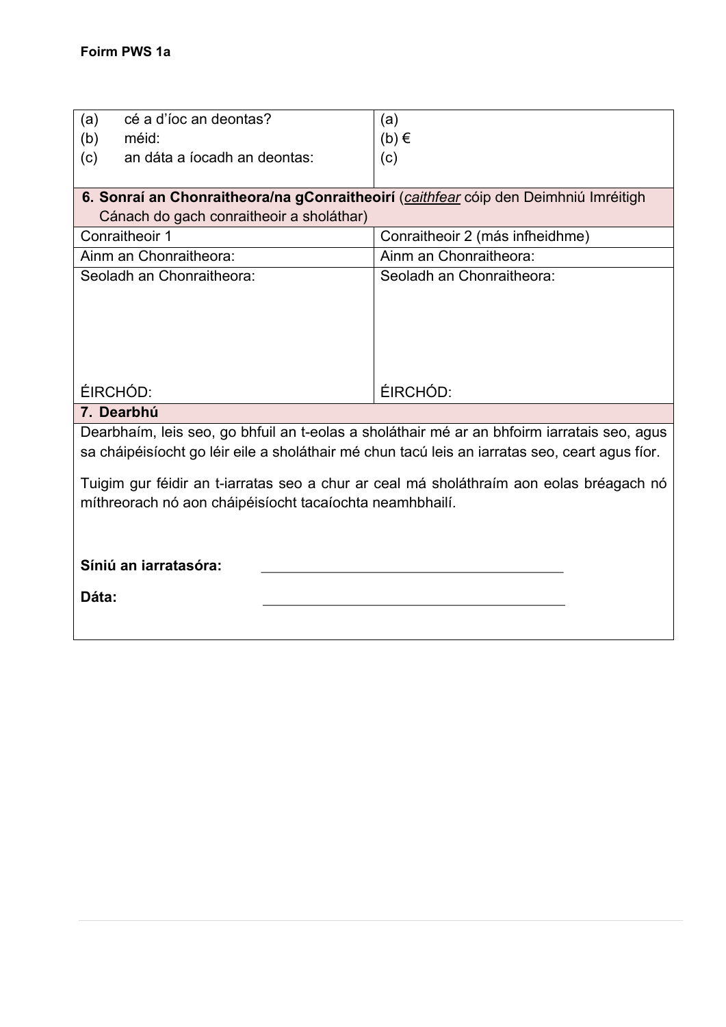| cé a d'íoc an deontas?<br>(a)                                                                  | (a)                             |  |
|------------------------------------------------------------------------------------------------|---------------------------------|--|
| (b)<br>méid:                                                                                   | $(b) \in$                       |  |
| (c)<br>an dáta a íocadh an deontas:                                                            | (c)                             |  |
|                                                                                                |                                 |  |
| 6. Sonraí an Chonraitheora/na gConraitheoirí (caithfear cóip den Deimhniú Imréitigh            |                                 |  |
| Cánach do gach conraitheoir a sholáthar)                                                       |                                 |  |
| Conraitheoir 1                                                                                 | Conraitheoir 2 (más infheidhme) |  |
| Ainm an Chonraitheora:                                                                         | Ainm an Chonraitheora:          |  |
| Seoladh an Chonraitheora:                                                                      | Seoladh an Chonraitheora:       |  |
|                                                                                                |                                 |  |
|                                                                                                |                                 |  |
|                                                                                                |                                 |  |
|                                                                                                |                                 |  |
|                                                                                                |                                 |  |
| ÉIRCHÓD:                                                                                       | ÉIRCHÓD:                        |  |
| 7. Dearbhú                                                                                     |                                 |  |
| Dearbhaím, leis seo, go bhfuil an t-eolas a sholáthair mé ar an bhfoirm iarratais seo, agus    |                                 |  |
| sa cháipéisíocht go léir eile a sholáthair mé chun tacú leis an iarratas seo, ceart agus fíor. |                                 |  |
| Tuigim gur féidir an t-iarratas seo a chur ar ceal má sholáthraím aon eolas bréagach nó        |                                 |  |
|                                                                                                |                                 |  |
|                                                                                                |                                 |  |
| míthreorach nó aon cháipéisíocht tacaíochta neamhbhailí.                                       |                                 |  |
|                                                                                                |                                 |  |
|                                                                                                |                                 |  |
| Síniú an iarratasóra:                                                                          |                                 |  |
| Dáta:                                                                                          |                                 |  |
|                                                                                                |                                 |  |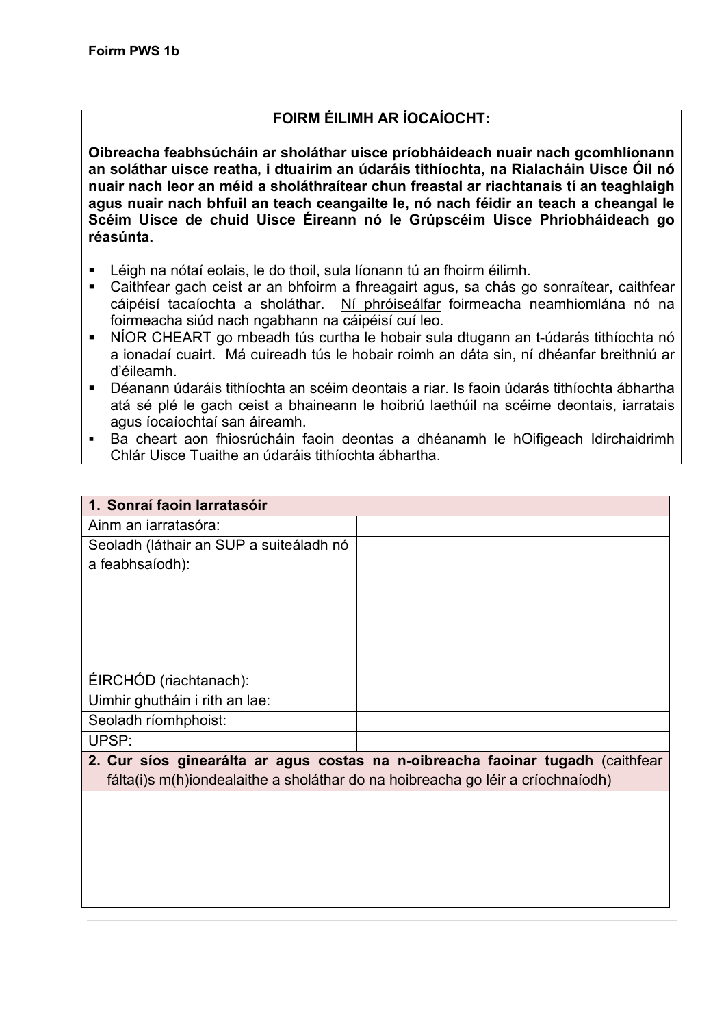## **FOIRM ÉILIMH AR ÍOCAÍOCHT:**

**Oibreacha feabhsúcháin ar sholáthar uisce príobháideach nuair nach gcomhlíonann an soláthar uisce reatha, i dtuairim an údaráis tithíochta, na Rialacháin Uisce Óil nó nuair nach leor an méid a sholáthraítear chun freastal ar riachtanais tí an teaghlaigh agus nuair nach bhfuil an teach ceangailte le, nó nach féidir an teach a cheangal le Scéim Uisce de chuid Uisce Éireann nó le Grúpscéim Uisce Phríobháideach go réasúnta.**

- § Léigh na nótaí eolais, le do thoil, sula líonann tú an fhoirm éilimh.
- Caithfear gach ceist ar an bhfoirm a fhreagairt agus, sa chás go sonraítear, caithfear cáipéisí tacaíochta a sholáthar. Ní phróiseálfar foirmeacha neamhiomlána nó na foirmeacha siúd nach ngabhann na cáipéisí cuí leo.
- § NÍOR CHEART go mbeadh tús curtha le hobair sula dtugann an t-údarás tithíochta nó a ionadaí cuairt. Má cuireadh tús le hobair roimh an dáta sin, ní dhéanfar breithniú ar d'éileamh.
- Déanann údaráis tithíochta an scéim deontais a riar. Is faoin údarás tithíochta ábhartha atá sé plé le gach ceist a bhaineann le hoibriú laethúil na scéime deontais, iarratais agus íocaíochtaí san áireamh.
- Ba cheart aon fhiosrúcháin faoin deontas a dhéanamh le hOifigeach Idirchaidrimh Chlár Uisce Tuaithe an údaráis tithíochta ábhartha.

| 1. Sonraí faoin Iarratasóir             |                                                                                |
|-----------------------------------------|--------------------------------------------------------------------------------|
| Ainm an iarratasóra:                    |                                                                                |
| Seoladh (láthair an SUP a suiteáladh nó |                                                                                |
| a feabhsaíodh):                         |                                                                                |
|                                         |                                                                                |
|                                         |                                                                                |
|                                         |                                                                                |
|                                         |                                                                                |
| ÉIRCHÓD (riachtanach):                  |                                                                                |
| Uimhir ghutháin i rith an lae:          |                                                                                |
| Seoladh ríomhphoist:                    |                                                                                |
| UPSP:                                   |                                                                                |
|                                         | 2. Cur síos ginearálta ar agus costas na n-oibreacha faoinar tugadh (caithfear |

fálta(i)s m(h)iondealaithe a sholáthar do na hoibreacha go léir a críochnaíodh)